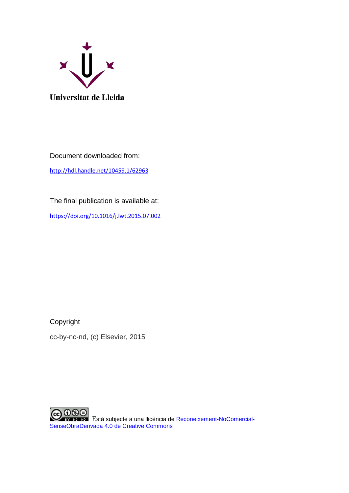

Document downloaded from: <http://hdl.handle.net/10459.1/62963>

The final publication is available at:

<https://doi.org/10.1016/j.lwt.2015.07.002>

Copyright

cc-by-nc-nd, (c) Elsevier, 2015

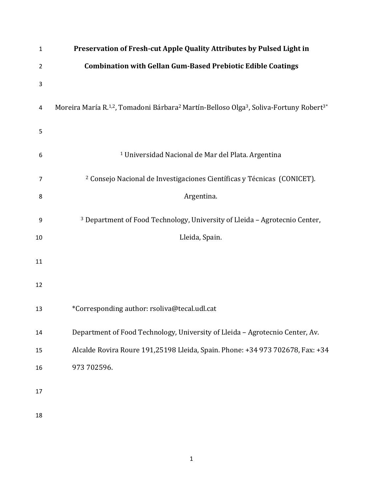| $\mathbf{1}$   | Preservation of Fresh-cut Apple Quality Attributes by Pulsed Light in                                                                  |
|----------------|----------------------------------------------------------------------------------------------------------------------------------------|
| $\overline{2}$ | <b>Combination with Gellan Gum-Based Prebiotic Edible Coatings</b>                                                                     |
| 3              |                                                                                                                                        |
| 4              | Moreira María R. <sup>1,2</sup> , Tomadoni Bárbara <sup>2</sup> Martín-Belloso Olga <sup>3</sup> , Soliva-Fortuny Robert <sup>3*</sup> |
| 5              |                                                                                                                                        |
| 6              | <sup>1</sup> Universidad Nacional de Mar del Plata. Argentina                                                                          |
| 7              | <sup>2</sup> Consejo Nacional de Investigaciones Científicas y Técnicas (CONICET).                                                     |
| 8              | Argentina.                                                                                                                             |
| 9              | <sup>3</sup> Department of Food Technology, University of Lleida - Agrotecnio Center,                                                  |
| 10             | Lleida, Spain.                                                                                                                         |
| 11             |                                                                                                                                        |
| 12             |                                                                                                                                        |
| 13             | *Corresponding author: rsoliva@tecal.udl.cat                                                                                           |
| 14             | Department of Food Technology, University of Lleida - Agrotecnio Center, Av.                                                           |
| 15             | Alcalde Rovira Roure 191,25198 Lleida, Spain. Phone: +34 973 702678, Fax: +34                                                          |
| 16             | 973 702596.                                                                                                                            |
| 17             |                                                                                                                                        |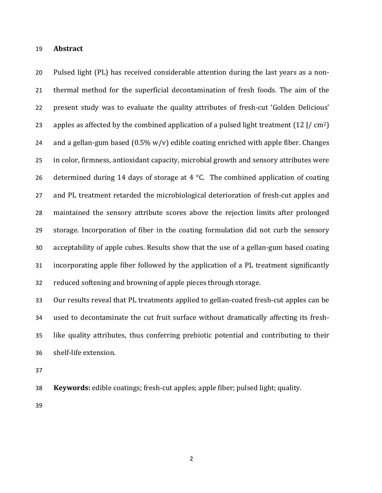### 19 **Abstract**

20 Pulsed light (PL) has received considerable attention during the last years as a non-21 thermal method for the superficial decontamination of fresh foods. The aim of the 22 present study was to evaluate the quality attributes of fresh-cut 'Golden Delicious' 23 apples as affected by the combined application of a pulsed light treatment  $(12$  J/ cm<sup>2</sup>) 24 and a gellan-gum based  $(0.5\% \text{ w/v})$  edible coating enriched with apple fiber. Changes 25 in color, firmness, antioxidant capacity, microbial growth and sensory attributes were 26 determined during 14 days of storage at 4  $\degree$ C. The combined application of coating 27 and PL treatment retarded the microbiological deterioration of fresh-cut apples and 28 maintained the sensory attribute scores above the rejection limits after prolonged 29 storage. Incorporation of fiber in the coating formulation did not curb the sensory 30 acceptability of apple cubes. Results show that the use of a gellan-gum based coating 31 incorporating apple fiber followed by the application of a PL treatment significantly 32 reduced softening and browning of apple pieces through storage.

33 Our results reveal that PL treatments applied to gellan-coated fresh-cut apples can be 34 used to decontaminate the cut fruit surface without dramatically affecting its fresh-35 like quality attributes, thus conferring prebiotic potential and contributing to their 36 shelf-life extension.

37

38 **Keywords:** edible coatings; fresh-cut apples; apple fiber; pulsed light; quality.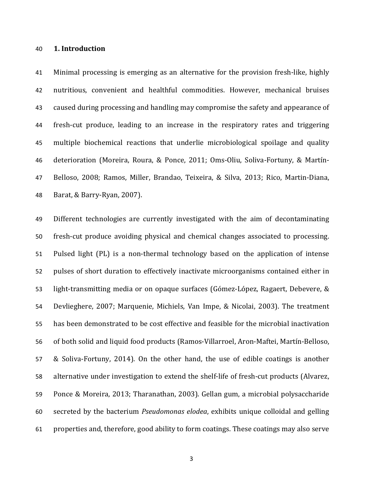### 40 **1. Introduction**

41 Minimal processing is emerging as an alternative for the provision fresh-like, highly 42 nutritious, convenient and healthful commodities. However, mechanical bruises 43 caused during processing and handling may compromise the safety and appearance of 44 fresh-cut produce, leading to an increase in the respiratory rates and triggering 45 multiple biochemical reactions that underlie microbiological spoilage and quality 46 deterioration (Moreira, Roura, & Ponce, 2011; Oms-Oliu, Soliva-Fortuny, & Martín-47 Belloso, 2008; Ramos, Miller, Brandao, Teixeira, & Silva, 2013; Rico, Martin-Diana, 48 Barat, & Barry-Ryan, 2007).

49 Different technologies are currently investigated with the aim of decontaminating 50 fresh-cut produce avoiding physical and chemical changes associated to processing. 51 Pulsed light (PL) is a non-thermal technology based on the application of intense 52 pulses of short duration to effectively inactivate microorganisms contained either in 53 light-transmitting media or on opaque surfaces (Gómez-López, Ragaert, Debevere, & 54 Devlieghere, 2007; Marquenie, Michiels, Van Impe, & Nicolai, 2003). The treatment 55 has been demonstrated to be cost effective and feasible for the microbial inactivation 56 of both solid and liquid food products (Ramos-Villarroel, Aron-Maftei, Martín-Belloso, 57 & Soliva-Fortuny, 2014). On the other hand, the use of edible coatings is another 58 alternative under investigation to extend the shelf-life of fresh-cut products (Alvarez, 59 Ponce & Moreira, 2013; Tharanathan, 2003). Gellan gum, a microbial polysaccharide 60 secreted by the bacterium *Pseudomonas elodea*, exhibits unique colloidal and gelling 61 properties and, therefore, good ability to form coatings. These coatings may also serve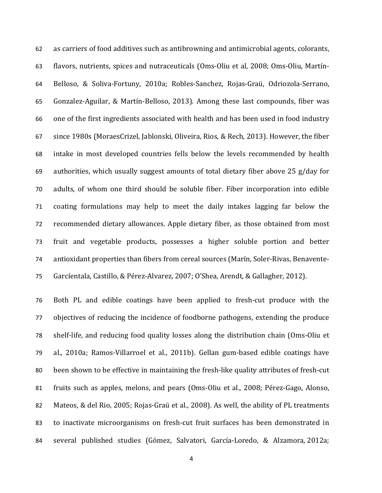62 as carriers of food additives such as antibrowning and antimicrobial agents, colorants, 63 flavors, nutrients, spices and nutraceuticals (Oms-Oliu et al, 2008; Oms-Oliu, Martín-64 Belloso, & Soliva-Fortuny, 2010a; Robles-Sanchez, Rojas-Graü, Odriozola-Serrano, 65 Gonzalez-Aguilar, & Martín-Belloso, 2013). Among these last compounds, fiber was 66 one of the first ingredients associated with health and has been used in food industry 67 since 1980s (MoraesCrizel, Jablonski, Oliveira, Rios, & Rech, 2013). However, the fiber 68 intake in most developed countries fells below the levels recommended by health 69 authorities, which usually suggest amounts of total dietary fiber above 25  $g$ /day for 70 adults, of whom one third should be soluble fiber. Fiber incorporation into edible 71 coating formulations may help to meet the daily intakes lagging far below the 72 recommended dietary allowances. Apple dietary fiber, as those obtained from most 73 fruit and vegetable products, possesses a higher soluble portion and better 74 antioxidant properties than fibers from cereal sources (Marín, Soler-Rivas, Benavente-75 Garcíentala, Castillo, & Pérez-Alvarez, 2007; O'Shea, Arendt, & Gallagher, 2012).

76 Both PL and edible coatings have been applied to fresh-cut produce with the 77 objectives of reducing the incidence of foodborne pathogens, extending the produce 78 shelf-life, and reducing food quality losses along the distribution chain (Oms-Oliu et 79 al., 2010a; Ramos-Villarroel et al., 2011b). Gellan gum-based edible coatings have 80 been shown to be effective in maintaining the fresh-like quality attributes of fresh-cut 81 fruits such as apples, melons, and pears (Oms-Oliu et al., 2008; Pérez-Gago, Alonso, 82 Mateos, & del Rio, 2005; Rojas-Graü et al., 2008). As well, the ability of PL treatments 83 to inactivate microorganisms on fresh-cut fruit surfaces has been demonstrated in 84 several published studies (Gómez, Salvatori, García-Loredo, & Alzamora*,* 2012a;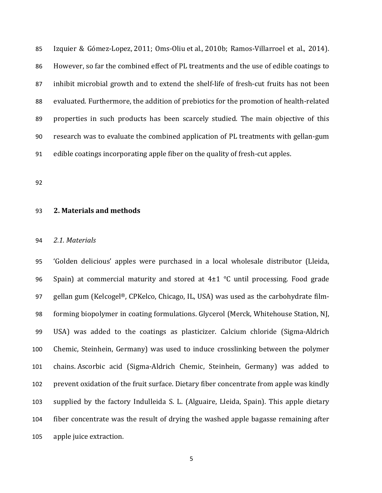85 Izquier & Gómez-Lopez, 2011; Oms-Oliu et al., 2010b; Ramos-Villarroel et al., 2014). 86 However, so far the combined effect of PL treatments and the use of edible coatings to 87 inhibit microbial growth and to extend the shelf-life of fresh-cut fruits has not been 88 evaluated. Furthermore, the addition of prebiotics for the promotion of health-related 89 properties in such products has been scarcely studied. The main objective of this 90 research was to evaluate the combined application of PL treatments with gellan-gum 91 edible coatings incorporating apple fiber on the quality of fresh-cut apples.

92

## 93 **2. Materials and methods**

#### 94 *2.1. Materials*

95 (Golden delicious' apples were purchased in a local wholesale distributor (Lleida, 96 Spain) at commercial maturity and stored at  $4\pm 1$  °C until processing. Food grade 97 gellan gum (Kelcogel®, CPKelco, Chicago, IL, USA) was used as the carbohydrate film-98 forming biopolymer in coating formulations. Glycerol (Merck, Whitehouse Station, NJ, 99 USA) was added to the coatings as plasticizer. Calcium chloride (Sigma-Aldrich 100 Chemic, Steinhein, Germany) was used to induce crosslinking between the polymer 101 chains. Ascorbic acid (Sigma-Aldrich Chemic, Steinhein, Germany) was added to 102 prevent oxidation of the fruit surface. Dietary fiber concentrate from apple was kindly 103 supplied by the factory Indulleida S. L. (Alguaire, Lleida, Spain). This apple dietary 104 fiber concentrate was the result of drying the washed apple bagasse remaining after 105 apple juice extraction.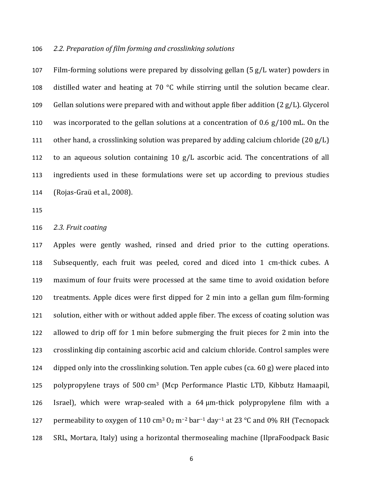### 106 *2.2. Preparation of film forming and crosslinking solutions*

107 Film-forming solutions were prepared by dissolving gellan  $(5 g/L$  water) powders in 108 distilled water and heating at 70  $\degree$ C while stirring until the solution became clear. 109 Gellan solutions were prepared with and without apple fiber addition  $(2 g/L)$ . Glycerol 110 was incorporated to the gellan solutions at a concentration of 0.6  $g/100$  mL. On the 111 other hand, a crosslinking solution was prepared by adding calcium chloride  $(20 g/L)$ 112 to an aqueous solution containing 10  $g/L$  ascorbic acid. The concentrations of all 113 ingredients used in these formulations were set up according to previous studies 114 (Rojas-Graü et al., 2008).

115

## 116 2.3. Fruit coating

117 Apples were gently washed, rinsed and dried prior to the cutting operations. 118 Subsequently, each fruit was peeled, cored and diced into 1 cm-thick cubes. A 119 maximum of four fruits were processed at the same time to avoid oxidation before 120 treatments. Apple dices were first dipped for 2 min into a gellan gum film-forming 121 solution, either with or without added apple fiber. The excess of coating solution was 122 allowed to drip off for 1 min before submerging the fruit pieces for 2 min into the 123 crosslinking dip containing ascorbic acid and calcium chloride. Control samples were 124 dipped only into the crosslinking solution. Ten apple cubes  $(ca. 60 g)$  were placed into 125 polypropylene trays of 500 cm<sup>3</sup> (Mcp Performance Plastic LTD, Kibbutz Hamaapil, 126 Israel), which were wrap-sealed with a  $64 \mu m$ -thick polypropylene film with a 127 permeability to oxygen of 110 cm<sup>3</sup> O<sub>2</sub> m<sup>-2</sup> bar<sup>-1</sup> day<sup>-1</sup> at 23 °C and 0% RH (Tecnopack 128 SRL, Mortara, Italy) using a horizontal thermosealing machine (IlpraFoodpack Basic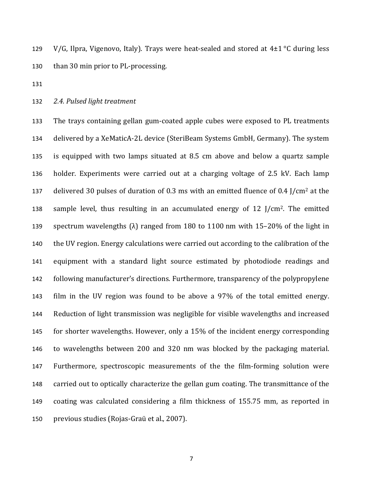129 V/G, Ilpra, Vigenovo, Italy). Trays were heat-sealed and stored at  $4\pm 1$  °C during less 130 than 30 min prior to PL-processing.

131

132 2.4. Pulsed light treatment

133 The trays containing gellan gum-coated apple cubes were exposed to PL treatments 134 delivered by a XeMaticA-2L device (SteriBeam Systems GmbH, Germany). The system 135 is equipped with two lamps situated at 8.5 cm above and below a quartz sample 136 holder. Experiments were carried out at a charging voltage of 2.5 kV. Each lamp 137 delivered 30 pulses of duration of 0.3 ms with an emitted fluence of 0.4  $1/cm^2$  at the 138 sample level, thus resulting in an accumulated energy of  $12$  J/cm<sup>2</sup>. The emitted 139 spectrum wavelengths  $(\lambda)$  ranged from 180 to 1100 nm with 15–20% of the light in 140 the UV region. Energy calculations were carried out according to the calibration of the 141 equipment with a standard light source estimated by photodiode readings and 142 following manufacturer's directions. Furthermore, transparency of the polypropylene 143 film in the UV region was found to be above a 97% of the total emitted energy. 144 Reduction of light transmission was negligible for visible wavelengths and increased 145 for shorter wavelengths. However, only a 15% of the incident energy corresponding 146 to wavelengths between 200 and 320 nm was blocked by the packaging material. 147 Furthermore, spectroscopic measurements of the the film-forming solution were 148 carried out to optically characterize the gellan gum coating. The transmittance of the 149 coating was calculated considering a film thickness of 155.75 mm, as reported in 150 previous studies (Rojas-Graü et al., 2007).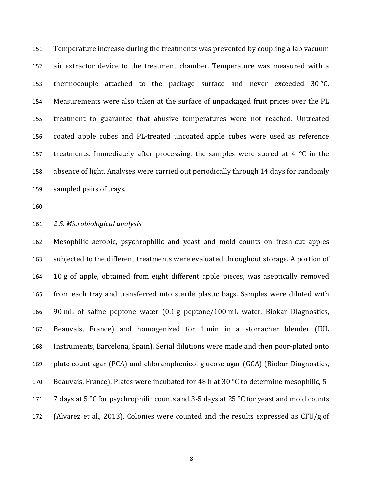151 Temperature increase during the treatments was prevented by coupling a lab vacuum 152 air extractor device to the treatment chamber. Temperature was measured with a 153 thermocouple attached to the package surface and never exceeded 30 °C. 154 Measurements were also taken at the surface of unpackaged fruit prices over the PL 155 treatment to guarantee that abusive temperatures were not reached. Untreated 156 coated apple cubes and PL-treated uncoated apple cubes were used as reference 157 treatments. Immediately after processing, the samples were stored at 4  $\degree$ C in the 158 absence of light. Analyses were carried out periodically through 14 days for randomly 159 sampled pairs of trays.

160

## 161 *2.5. Microbiological analysis*

162 Mesophilic aerobic, psychrophilic and yeast and mold counts on fresh-cut apples 163 subjected to the different treatments were evaluated throughout storage. A portion of 164 10 g of apple, obtained from eight different apple pieces, was aseptically removed 165 from each tray and transferred into sterile plastic bags. Samples were diluted with 166 90 mL of saline peptone water  $(0.1 \text{ g}$  peptone/100 mL water, Biokar Diagnostics, 167 Beauvais, France) and homogenized for 1 min in a stomacher blender (IUL 168 Instruments, Barcelona, Spain). Serial dilutions were made and then pour-plated onto 169 plate count agar (PCA) and chloramphenicol glucose agar (GCA) (Biokar Diagnostics, 170 Beauvais, France). Plates were incubated for 48 h at 30  $\degree$ C to determine mesophilic, 5-171 7 days at 5 °C for psychrophilic counts and 3-5 days at 25 °C for yeast and mold counts 172 (Alvarez et al., 2013). Colonies were counted and the results expressed as CFU/g of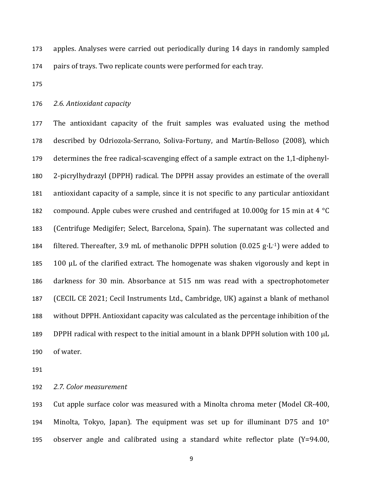173 apples. Analyses were carried out periodically during 14 days in randomly sampled 174 pairs of trays. Two replicate counts were performed for each tray.

175

### 176 2.6. Antioxidant capacity

177 The antioxidant capacity of the fruit samples was evaluated using the method 178 described by Odriozola-Serrano, Soliva-Fortuny, and Martín-Belloso (2008), which 179 determines the free radical-scavenging effect of a sample extract on the 1,1-diphenyl-180 2-picrylhydrazyl (DPPH) radical. The DPPH assay provides an estimate of the overall 181 antioxidant capacity of a sample, since it is not specific to any particular antioxidant 182 compound. Apple cubes were crushed and centrifuged at 10.000g for 15 min at 4  $^{\circ}$ C 183 (Centrifuge Medigifer; Select, Barcelona, Spain). The supernatant was collected and 184 filtered. Thereafter, 3.9 mL of methanolic DPPH solution  $(0.025 \text{ g} \cdot L^{-1})$  were added to 185 100  $\mu$ L of the clarified extract. The homogenate was shaken vigorously and kept in 186 darkness for 30 min. Absorbance at 515 nm was read with a spectrophotometer 187 (CECIL CE 2021; Cecil Instruments Ltd., Cambridge, UK) against a blank of methanol 188 without DPPH. Antioxidant capacity was calculated as the percentage inhibition of the 189 DPPH radical with respect to the initial amount in a blank DPPH solution with 100  $\mu$ L 190 of water.

191

192 *2.7. Color measurement*

193 Cut apple surface color was measured with a Minolta chroma meter (Model CR-400, 194 Minolta, Tokyo, Japan). The equipment was set up for illuminant  $D75$  and  $10^{\circ}$ 195 observer angle and calibrated using a standard white reflector plate  $(Y=94.00,$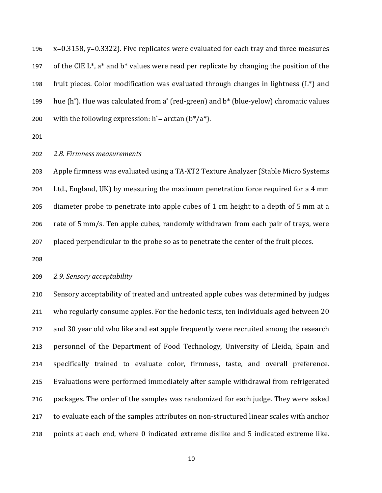196  $x=0.3158$ ,  $y=0.3322$ ). Five replicates were evaluated for each tray and three measures 197 of the CIE  $L^*$ , a<sup>\*</sup> and b<sup>\*</sup> values were read per replicate by changing the position of the 198 fruit pieces. Color modification was evaluated through changes in lightness  $(L^*)$  and 199 hue (h\*). Hue was calculated from a\* (red-green) and  $b^*$  (blue-yelow) chromatic values 200 with the following expression:  $h^*$ = arctan ( $b^*/a^*$ ).

201

### 202 *2.8. Firmness measurements*

203 Apple firmness was evaluated using a TA-XT2 Texture Analyzer (Stable Micro Systems 204 Ltd., England, UK) by measuring the maximum penetration force required for a 4 mm 205 diameter probe to penetrate into apple cubes of 1 cm height to a depth of 5 mm at a 206 rate of 5 mm/s. Ten apple cubes, randomly withdrawn from each pair of trays, were 207 placed perpendicular to the probe so as to penetrate the center of the fruit pieces.

208

### 209 *2.9. Sensory acceptability*

210 Sensory acceptability of treated and untreated apple cubes was determined by judges 211 who regularly consume apples. For the hedonic tests, ten individuals aged between 20 212 and 30 year old who like and eat apple frequently were recruited among the research 213 personnel of the Department of Food Technology, University of Lleida, Spain and 214 specifically trained to evaluate color, firmness, taste, and overall preference. 215 Evaluations were performed immediately after sample withdrawal from refrigerated 216 packages. The order of the samples was randomized for each judge. They were asked 217 to evaluate each of the samples attributes on non-structured linear scales with anchor 218 points at each end, where 0 indicated extreme dislike and 5 indicated extreme like.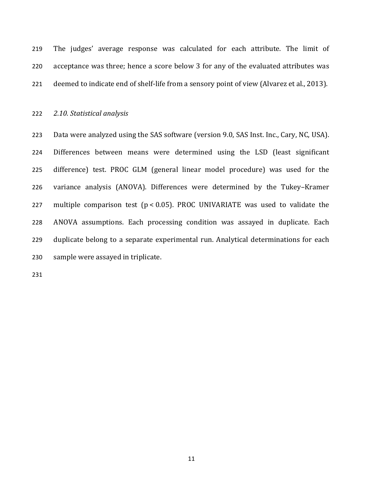219 The judges' average response was calculated for each attribute. The limit of 220 acceptance was three; hence a score below 3 for any of the evaluated attributes was 221 deemed to indicate end of shelf-life from a sensory point of view (Alvarez et al., 2013).

222 *2.10. Statistical analysis*

223 Data were analyzed using the SAS software (version 9.0, SAS Inst. Inc., Cary, NC, USA). 224 Differences between means were determined using the LSD (least significant 225 difference) test. PROC GLM (general linear model procedure) was used for the 226 variance analysis (ANOVA). Differences were determined by the Tukey-Kramer 227 multiple comparison test ( $p < 0.05$ ). PROC UNIVARIATE was used to validate the 228 ANOVA assumptions. Each processing condition was assayed in duplicate. Each 229 duplicate belong to a separate experimental run. Analytical determinations for each 230 sample were assayed in triplicate.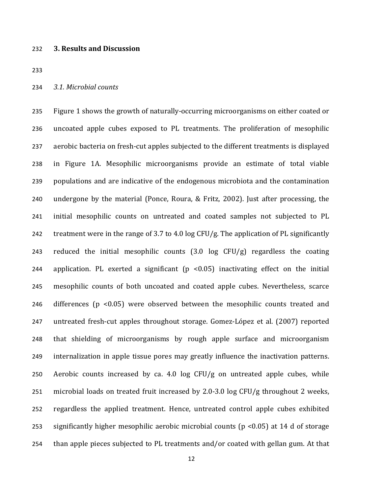#### 232 **3. Results and Discussion**

233

#### 234 *3.1. Microbial counts*

235 Figure 1 shows the growth of naturally-occurring microorganisms on either coated or 236 uncoated apple cubes exposed to PL treatments. The proliferation of mesophilic 237 aerobic bacteria on fresh-cut apples subjected to the different treatments is displayed 238 in Figure 1A. Mesophilic microorganisms provide an estimate of total viable 239 populations and are indicative of the endogenous microbiota and the contamination 240 undergone by the material (Ponce, Roura, & Fritz, 2002). Just after processing, the 241 initial mesophilic counts on untreated and coated samples not subjected to PL 242 treatment were in the range of 3.7 to 4.0 log CFU/g. The application of PL significantly 243 reduced the initial mesophilic counts  $(3.0 \text{ log } CFU/g)$  regardless the coating 244 application. PL exerted a significant  $(p \lt 0.05)$  inactivating effect on the initial 245 mesophilic counts of both uncoated and coated apple cubes. Nevertheless, scarce 246 differences ( $p$  <0.05) were observed between the mesophilic counts treated and 247 untreated fresh-cut apples throughout storage. Gomez-López et al. (2007) reported 248 that shielding of microorganisms by rough apple surface and microorganism 249 internalization in apple tissue pores may greatly influence the inactivation patterns. 250 Aerobic counts increased by ca. 4.0  $\log$  CFU/g on untreated apple cubes, while 251 microbial loads on treated fruit increased by 2.0-3.0 log CFU/g throughout 2 weeks, 252 regardless the applied treatment. Hence, untreated control apple cubes exhibited 253 significantly higher mesophilic aerobic microbial counts ( $p$  <0.05) at 14 d of storage 254 than apple pieces subjected to PL treatments and/or coated with gellan gum. At that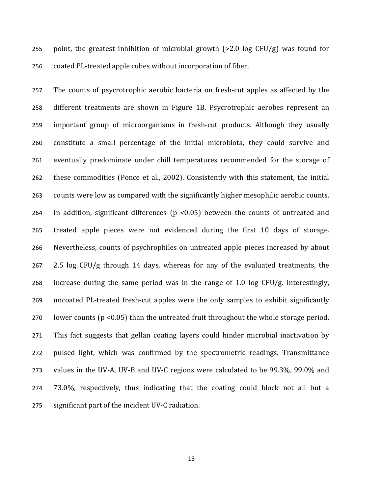255 point, the greatest inhibition of microbial growth  $(>2.0 \log CFU/g)$  was found for 256 coated PL-treated apple cubes without incorporation of fiber.

257 The counts of psycrotrophic aerobic bacteria on fresh-cut apples as affected by the 258 different treatments are shown in Figure 1B. Psycrotrophic aerobes represent an 259 important group of microorganisms in fresh-cut products. Although they usually 260 constitute a small percentage of the initial microbiota, they could survive and 261 eventually predominate under chill temperatures recommended for the storage of 262 these commodities (Ponce et al., 2002). Consistently with this statement, the initial 263 counts were low as compared with the significantly higher mesophilic aerobic counts. 264 In addition, significant differences ( $p$  <0.05) between the counts of untreated and 265 treated apple pieces were not evidenced during the first 10 days of storage. 266 Nevertheless, counts of psychrophiles on untreated apple pieces increased by about  $267$  2.5 log CFU/g through 14 days, whereas for any of the evaluated treatments, the 268 increase during the same period was in the range of 1.0 log CFU/g. Interestingly, 269 uncoated PL-treated fresh-cut apples were the only samples to exhibit significantly 270 lower counts ( $p \le 0.05$ ) than the untreated fruit throughout the whole storage period. 271 This fact suggests that gellan coating layers could hinder microbial inactivation by 272 pulsed light, which was confirmed by the spectrometric readings. Transmittance 273 values in the UV-A, UV-B and UV-C regions were calculated to be 99.3%, 99.0% and 274 73.0%, respectively, thus indicating that the coating could block not all but a 275 significant part of the incident UV-C radiation.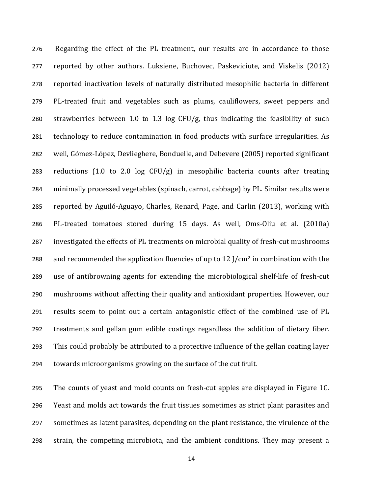276 Regarding the effect of the PL treatment, our results are in accordance to those 277 reported by other authors. Luksiene, Buchovec, Paskeviciute, and Viskelis (2012) 278 reported inactivation levels of naturally distributed mesophilic bacteria in different 279 PL-treated fruit and vegetables such as plums, cauliflowers, sweet peppers and 280 strawberries between 1.0 to 1.3  $\log$  CFU/g, thus indicating the feasibility of such 281 technology to reduce contamination in food products with surface irregularities. As 282 well, Gómez-López, Devlieghere, Bonduelle, and Debevere (2005) reported significant 283 reductions  $(1.0 \text{ to } 2.0 \text{ log } CFU/g)$  in mesophilic bacteria counts after treating 284 minimally processed vegetables (spinach, carrot, cabbage) by PL. Similar results were 285 reported by Aguiló-Aguayo, Charles, Renard, Page, and Carlin (2013), working with 286 PL-treated tomatoes stored during 15 days. As well, Oms-Oliu et al. (2010a) 287 investigated the effects of PL treatments on microbial quality of fresh-cut mushrooms 288 and recommended the application fluencies of up to 12  $\frac{1}{\text{cm}^2}$  in combination with the 289 use of antibrowning agents for extending the microbiological shelf-life of fresh-cut 290 mushrooms without affecting their quality and antioxidant properties. However, our 291 results seem to point out a certain antagonistic effect of the combined use of PL 292 treatments and gellan gum edible coatings regardless the addition of dietary fiber. 293 This could probably be attributed to a protective influence of the gellan coating layer 294 towards microorganisms growing on the surface of the cut fruit.

295 The counts of yeast and mold counts on fresh-cut apples are displayed in Figure 1C. 296 Yeast and molds act towards the fruit tissues sometimes as strict plant parasites and 297 sometimes as latent parasites, depending on the plant resistance, the virulence of the 298 strain, the competing microbiota, and the ambient conditions. They may present a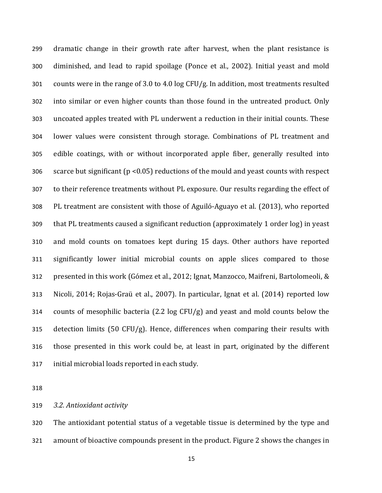299 dramatic change in their growth rate after harvest, when the plant resistance is 300 diminished, and lead to rapid spoilage (Ponce et al., 2002). Initial yeast and mold 301 counts were in the range of 3.0 to 4.0  $log CFU/g$ . In addition, most treatments resulted 302 into similar or even higher counts than those found in the untreated product. Only 303 uncoated apples treated with PL underwent a reduction in their initial counts. These 304 lower values were consistent through storage. Combinations of PL treatment and 305 edible coatings, with or without incorporated apple fiber, generally resulted into 306 scarce but significant ( $p$  <0.05) reductions of the mould and yeast counts with respect 307 to their reference treatments without PL exposure. Our results regarding the effect of 308 PL treatment are consistent with those of Aguiló-Aguayo et al. (2013), who reported 309 that PL treatments caused a significant reduction (approximately 1 order log) in yeast 310 and mold counts on tomatoes kept during 15 days. Other authors have reported 311 significantly lower initial microbial counts on apple slices compared to those 312 presented in this work (Gómez et al., 2012; Ignat, Manzocco, Maifreni, Bartolomeoli, & 313 Nicoli, 2014; Rojas-Graü et al., 2007). In particular, Ignat et al. (2014) reported low 314 counts of mesophilic bacteria  $(2.2 \log CFU/g)$  and yeast and mold counts below the 315 detection limits  $(50 \text{ CFU/g})$ . Hence, differences when comparing their results with 316 those presented in this work could be, at least in part, originated by the different 317 initial microbial loads reported in each study.

318

319 *3.2. Antioxidant activity*

320 The antioxidant potential status of a vegetable tissue is determined by the type and 321 amount of bioactive compounds present in the product. Figure 2 shows the changes in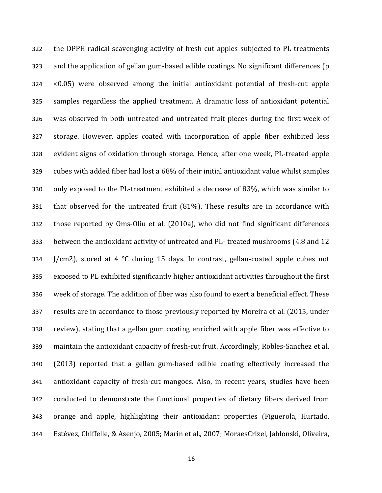322 the DPPH radical-scavenging activity of fresh-cut apples subjected to PL treatments 323 and the application of gellan gum-based edible coatings. No significant differences (p 324 <0.05) were observed among the initial antioxidant potential of fresh-cut apple 325 samples regardless the applied treatment. A dramatic loss of antioxidant potential 326 was observed in both untreated and untreated fruit pieces during the first week of 327 storage. However, apples coated with incorporation of apple fiber exhibited less 328 evident signs of oxidation through storage. Hence, after one week, PL-treated apple 329 cubes with added fiber had lost a 68% of their initial antioxidant value whilst samples 330 only exposed to the PL-treatment exhibited a decrease of 83%, which was similar to 331 that observed for the untreated fruit (81%). These results are in accordance with 332 those reported by Oms-Oliu et al. (2010a), who did not find significant differences 333 between the antioxidant activity of untreated and PL- treated mushrooms (4.8 and 12 334 *J/cm2)*, stored at 4  $\degree$ C during 15 days. In contrast, gellan-coated apple cubes not 335 exposed to PL exhibited significantly higher antioxidant activities throughout the first 336 week of storage. The addition of fiber was also found to exert a beneficial effect. These 337 results are in accordance to those previously reported by Moreira et al. (2015, under 338 review), stating that a gellan gum coating enriched with apple fiber was effective to 339 maintain the antioxidant capacity of fresh-cut fruit. Accordingly, Robles-Sanchez et al. 340 (2013) reported that a gellan gum-based edible coating effectively increased the 341 antioxidant capacity of fresh-cut mangoes. Also, in recent years, studies have been 342 conducted to demonstrate the functional properties of dietary fibers derived from 343 orange and apple, highlighting their antioxidant properties (Figuerola, Hurtado, 344 Estévez, Chiffelle, & Asenjo, 2005; Marin et al., 2007; MoraesCrizel, Jablonski, Oliveira,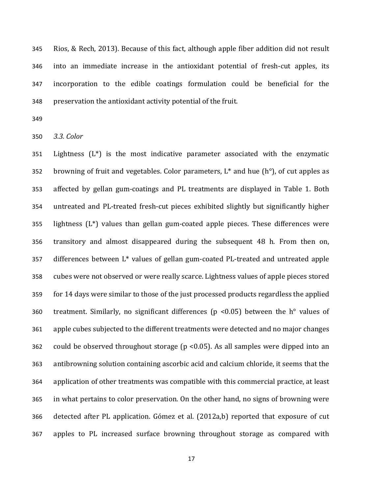345 Rios, & Rech, 2013). Because of this fact, although apple fiber addition did not result 346 into an immediate increase in the antioxidant potential of fresh-cut apples, its 347 incorporation to the edible coatings formulation could be beneficial for the 348 preservation the antioxidant activity potential of the fruit.

349

350 *3.3. Color*

351 Lightness  $(L^*)$  is the most indicative parameter associated with the enzymatic 352 browning of fruit and vegetables. Color parameters,  $L^*$  and hue (h°), of cut apples as 353 affected by gellan gum-coatings and PL treatments are displayed in Table 1. Both 354 untreated and PL-treated fresh-cut pieces exhibited slightly but significantly higher 355 lightness  $(L^*)$  values than gellan gum-coated apple pieces. These differences were 356 transitory and almost disappeared during the subsequent 48 h. From then on,  $357$  differences between  $L^*$  values of gellan gum-coated PL-treated and untreated apple 358 cubes were not observed or were really scarce. Lightness values of apple pieces stored 359 for 14 days were similar to those of the just processed products regardless the applied 360 treatment. Similarly, no significant differences (p <0.05) between the  $h^{\circ}$  values of 361 apple cubes subjected to the different treatments were detected and no major changes 362 could be observed throughout storage ( $p$  <0.05). As all samples were dipped into an 363 antibrowning solution containing ascorbic acid and calcium chloride, it seems that the 364 application of other treatments was compatible with this commercial practice, at least 365 in what pertains to color preservation. On the other hand, no signs of browning were 366 detected after PL application. Gómez et al. (2012a,b) reported that exposure of cut 367 apples to PL increased surface browning throughout storage as compared with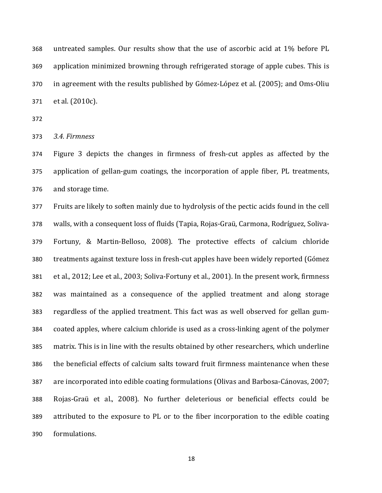368 untreated samples. Our results show that the use of ascorbic acid at 1% before PL 369 application minimized browning through refrigerated storage of apple cubes. This is 370 in agreement with the results published by Gómez-López et al. (2005); and Oms-Oliu 371 et al. (2010c).

372

373 *3.4. Firmness*

374 Figure 3 depicts the changes in firmness of fresh-cut apples as affected by the 375 application of gellan-gum coatings, the incorporation of apple fiber, PL treatments, 376 and storage time.

377 Fruits are likely to soften mainly due to hydrolysis of the pectic acids found in the cell 378 walls, with a consequent loss of fluids (Tapia, Rojas-Graü, Carmona, Rodríguez, Soliva-379 Fortuny, & Martin-Belloso, 2008). The protective effects of calcium chloride 380 treatments against texture loss in fresh-cut apples have been widely reported (Gómez 381 et al., 2012; Lee et al., 2003; Soliva-Fortuny et al., 2001). In the present work, firmness 382 was maintained as a consequence of the applied treatment and along storage 383 regardless of the applied treatment. This fact was as well observed for gellan gum-384 coated apples, where calcium chloride is used as a cross-linking agent of the polymer 385 matrix. This is in line with the results obtained by other researchers, which underline 386 the beneficial effects of calcium salts toward fruit firmness maintenance when these 387 are incorporated into edible coating formulations (Olivas and Barbosa-Cánovas, 2007; 388 Rojas-Graü et al., 2008). No further deleterious or beneficial effects could be 389 attributed to the exposure to PL or to the fiber incorporation to the edible coating 390 formulations.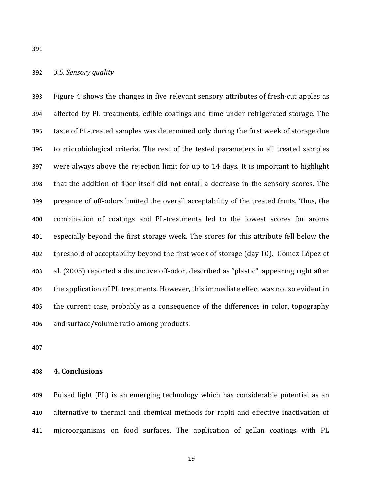392 *3.5. Sensory quality*

393 Figure 4 shows the changes in five relevant sensory attributes of fresh-cut apples as 394 affected by PL treatments, edible coatings and time under refrigerated storage. The 395 taste of PL-treated samples was determined only during the first week of storage due 396 to microbiological criteria. The rest of the tested parameters in all treated samples 397 were always above the rejection limit for up to 14 days. It is important to highlight 398 that the addition of fiber itself did not entail a decrease in the sensory scores. The 399 presence of off-odors limited the overall acceptability of the treated fruits. Thus, the 400 combination of coatings and PL-treatments led to the lowest scores for aroma 401 especially beyond the first storage week. The scores for this attribute fell below the 402 threshold of acceptability beyond the first week of storage (day 10). Gómez-López et 403 al. (2005) reported a distinctive off-odor, described as "plastic", appearing right after 404 the application of PL treatments. However, this immediate effect was not so evident in 405 the current case, probably as a consequence of the differences in color, topography 406 and surface/volume ratio among products.

407

### 408 **4. Conclusions**

409 Pulsed light (PL) is an emerging technology which has considerable potential as an 410 alternative to thermal and chemical methods for rapid and effective inactivation of 411 microorganisms on food surfaces. The application of gellan coatings with PL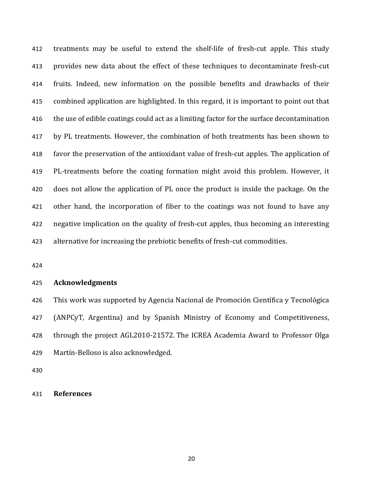412 treatments may be useful to extend the shelf-life of fresh-cut apple. This study 413 provides new data about the effect of these techniques to decontaminate fresh-cut 414 fruits. Indeed, new information on the possible benefits and drawbacks of their 415 combined application are highlighted. In this regard, it is important to point out that 416 the use of edible coatings could act as a limiting factor for the surface decontamination 417 by PL treatments. However, the combination of both treatments has been shown to 418 favor the preservation of the antioxidant value of fresh-cut apples. The application of 419 PL-treatments before the coating formation might avoid this problem. However, it 420 does not allow the application of PL once the product is inside the package. On the 421 other hand, the incorporation of fiber to the coatings was not found to have any 422 negative implication on the quality of fresh-cut apples, thus becoming an interesting 423 alternative for increasing the prebiotic benefits of fresh-cut commodities.

424

### 425 **Acknowledgments**

426 This work was supported by Agencia Nacional de Promoción Científica y Tecnológica 427 (ANPCyT, Argentina) and by Spanish Ministry of Economy and Competitiveness, 428 through the project AGL2010-21572. The ICREA Academia Award to Professor Olga 429 Martín-Belloso is also acknowledged.

430

# 431 **References**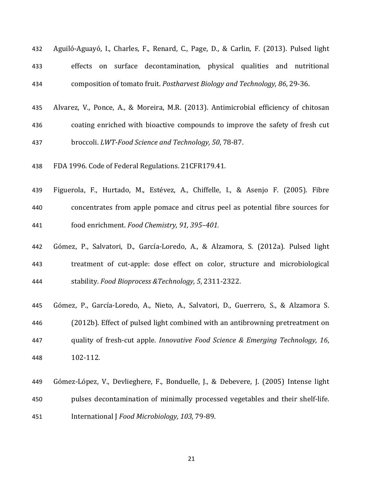| 432 |  | Aguiló-Aguayó, I., Charles, F., Renard, C., Page, D., & Carlin, F. (2013). Pulsed light |  |  |
|-----|--|-----------------------------------------------------------------------------------------|--|--|
| 433 |  | effects on surface decontamination, physical qualities and nutritional                  |  |  |
| 434 |  | composition of tomato fruit. Postharvest Biology and Technology, 86, 29-36.             |  |  |

- 435 Alvarez, V., Ponce, A., & Moreira, M.R. (2013). Antimicrobial efficiency of chitosan 436 coating enriched with bioactive compounds to improve the safety of fresh cut 437 broccoli. *LWT-Food Science and Technology, 50, 78-87.*
- 438 FDA 1996. Code of Federal Regulations. 21CFR179.41.
- 439 Figuerola, F., Hurtado, M., Estévez, A., Chiffelle, I., & Asenjo F. (2005). Fibre 440 concentrates from apple pomace and citrus peel as potential fibre sources for 441 food enrichment. *Food Chemistry, 91, 395–401.*
- 442 Gómez, P., Salvatori, D., García-Loredo, A., & Alzamora, S. (2012a). Pulsed light 443 treatment of cut-apple: dose effect on color, structure and microbiological 444 stability. *Food Bioprocess &Technology, 5*, 2311-2322.
- 445 Gómez, P., García-Loredo, A., Nieto, A., Salvatori, D., Guerrero, S., & Alzamora S. 446 (2012b). Effect of pulsed light combined with an antibrowning pretreatment on 447 quality of fresh-cut apple. *Innovative Food Science & Emerging Technology*, 16, 448 102-112.
- 449 Gómez-López, V., Devlieghere, F., Bonduelle, J., & Debevere, J. (2005) Intense light 450 pulses decontamination of minimally processed vegetables and their shelf-life. 451 **International J** Food Microbiology, 103, 79-89.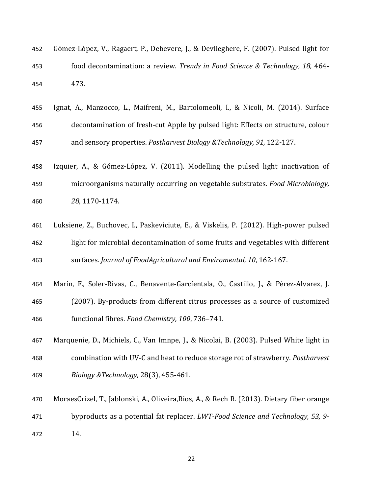| 452 | Gómez-López, V., Ragaert, P., Debevere, J., & Devlieghere, F. (2007). Pulsed light for |
|-----|----------------------------------------------------------------------------------------|
| 453 | food decontamination: a review. Trends in Food Science & Technology, 18, 464-          |
| 454 | 473.                                                                                   |

- 455 Ignat, A., Manzocco, L., Maifreni, M., Bartolomeoli, I., & Nicoli, M. (2014). Surface 456 decontamination of fresh-cut Apple by pulsed light: Effects on structure, colour 457 and sensory properties. *Postharvest Biology & Technology, 91, 122-127.*
- 458 Izquier, A., & Gómez-López, V. (2011). Modelling the pulsed light inactivation of 459 microorganisms naturally occurring on vegetable substrates. *Food Microbiology*, 460 *28*, 1170-1174.
- 461 Luksiene, Z., Buchovec, I., Paskeviciute, E., & Viskelis, P. (2012). High-power pulsed 462 light for microbial decontamination of some fruits and vegetables with different 463 surfaces. Journal of FoodAgricultural and Enviromental, 10, 162-167.
- 464 Marín, F., Soler-Rivas, C., Benavente-Garcíentala, O., Castillo, J., & Pérez-Alvarez, J. 465 (2007). By-products from different citrus processes as a source of customized
- 466 functional fibres. *Food Chemistry*, 100, 736-741.
- 467 Marquenie, D., Michiels, C., Van Imnpe, J., & Nicolai, B. (2003). Pulsed White light in 468 combination with UV-C and heat to reduce storage rot of strawberry. *Postharvest* 469 *Biology &Technology,* 28(3), 455-461.
- 470 MoraesCrizel, T., Jablonski, A., Oliveira, Rios, A., & Rech R. (2013). Dietary fiber orange 471 byproducts as a potential fat replacer. *LWT-Food Science and Technology*, 53, 9-472 14.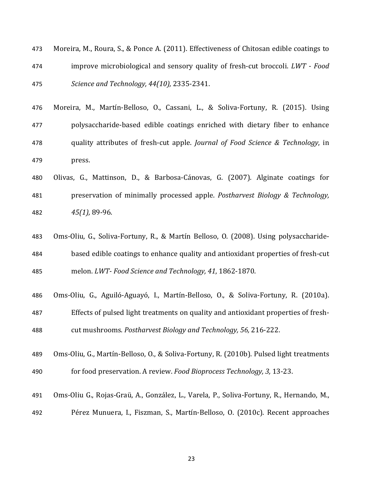| 473 | Moreira, M., Roura, S., & Ponce A. (2011). Effectiveness of Chitosan edible coatings to |
|-----|-----------------------------------------------------------------------------------------|
| 474 | improve microbiological and sensory quality of fresh-cut broccoli. LWT - Food           |
| 475 | Science and Technology, 44(10), 2335-2341.                                              |

- 476 Moreira, M., Martín-Belloso, O., Cassani, L., & Soliva-Fortuny, R. (2015). Using 477 **polysaccharide-based** edible coatings enriched with dietary fiber to enhance 478 quality attributes of fresh-cut apple. *Journal of Food Science & Technology*, in 479 press.
- 480 Olivas, G., Mattinson, D., & Barbosa-Cánovas, G. (2007). Alginate coatings for 481 preservation of minimally processed apple. *Postharvest Biology & Technology*, 482 *45(1),* 89-96.
- 483 Oms-Oliu, G., Soliva-Fortuny, R., & Martín Belloso, O. (2008). Using polysaccharide-484 based edible coatings to enhance quality and antioxidant properties of fresh-cut 485 melon. *LWT- Food Science and Technology, 41*, 1862-1870.
- 486 Oms-Oliu, G., Aguiló-Aguayó, I., Martín-Belloso, O., & Soliva-Fortuny, R. (2010a). 487 Effects of pulsed light treatments on quality and antioxidant properties of fresh-488 cut mushrooms. *Postharvest Biology and Technology, 56, 216-222.*
- 489 Oms-Oliu, G., Martín-Belloso, O., & Soliva-Fortuny, R. (2010b). Pulsed light treatments 490 for food preservation. A review. *Food Bioprocess Technology*, 3, 13-23.
- 491 Oms-Oliu G., Rojas-Graü, A., González, L., Varela, P., Soliva-Fortuny, R., Hernando, M., 492 Pérez Munuera, I., Fiszman, S., Martín-Belloso, O. (2010c). Recent approaches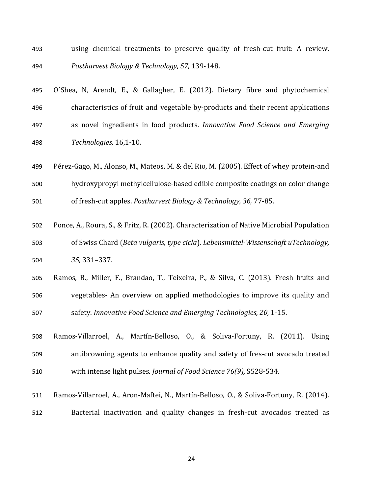- 493 using chemical treatments to preserve quality of fresh-cut fruit: A review. 494 *Postharvest Biology & Technology, 57,* 139-148.
- 495 O'Shea, N, Arendt, E., & Gallagher, E. (2012). Dietary fibre and phytochemical 496 characteristics of fruit and vegetable by-products and their recent applications 497 as novel ingredients in food products. *Innovative Food Science and Emerging* 498 *Technologies,* 16,1-10.
- 499 Pérez-Gago, M., Alonso, M., Mateos, M. & del Rio, M. (2005). Effect of whey protein-and 500 hydroxypropyl methylcellulose-based edible composite coatings on color change 501 of fresh-cut apples. *Postharvest Biology & Technology, 36, 77-85.*
- 502 Ponce, A., Roura, S., & Fritz, R. (2002). Characterization of Native Microbial Population 503 of Swiss Chard (*Beta vulgaris, type cicla*). *Lebensmittel-Wissenschaft uTechnology*, 504 *35,* 331–337.
- 505 Ramos, B., Miller, F., Brandao, T., Teixeira, P., & Silva, C. (2013). Fresh fruits and 506 vegetables- An overview on applied methodologies to improve its quality and 507 safety. *Innovative Food Science and Emerging Technologies, 20, 1-15.*
- 508 Ramos-Villarroel, A., Martín-Belloso, O., & Soliva-Fortuny, R. (2011). Using 509 antibrowning agents to enhance quality and safety of fres-cut avocado treated 510 with intense light pulses. *Journal of Food Science 76(9)*, S528-534.
- 511 Ramos-Villarroel, A., Aron-Maftei, N., Martín-Belloso, O., & Soliva-Fortuny, R. (2014). 512 Bacterial inactivation and quality changes in fresh-cut avocados treated as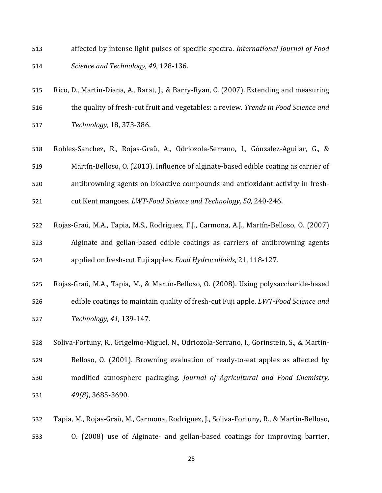- 513 affected by intense light pulses of specific spectra. *International Journal of Food* 514 *Science and Technology, 49*, 128-136.
- 515 Rico, D., Martin-Diana, A., Barat, J., & Barry-Ryan, C. (2007). Extending and measuring 516 the quality of fresh-cut fruit and vegetables: a review. *Trends in Food Science and* 517 *Technology*, 18, 373-386.
- 518 Robles-Sanchez, R., Rojas-Graü, A., Odriozola-Serrano, I., Gónzalez-Aguilar, G., & 519 Martín-Belloso, O. (2013). Influence of alginate-based edible coating as carrier of 520 antibrowning agents on bioactive compounds and antioxidant activity in fresh-521 cut Kent mangoes. *LWT-Food Science and Technology, 50, 240-246.*
- 522 Rojas-Graü, M.A., Tapia, M.S., Rodríguez, F.J., Carmona, A.J., Martín-Belloso, O. (2007) 523 Alginate and gellan-based edible coatings as carriers of antibrowning agents 524 applied on fresh-cut Fuji apples. *Food Hydrocolloids*, 21, 118-127.
- 525 Rojas-Graü, M.A., Tapia, M., & Martín-Belloso, O. (2008). Using polysaccharide-based 526 edible coatings to maintain quality of fresh-cut Fuji apple. *LWT-Food Science and* 527 *Technology, 41,* 139-147.
- 528 Soliva-Fortuny, R., Grigelmo-Miguel, N., Odriozola-Serrano, I., Gorinstein, S., & Martín-529 Belloso, O. (2001). Browning evaluation of ready-to-eat apples as affected by 530 modified atmosphere packaging. *Journal of Agricultural and Food Chemistry*, 531 *49(8)*, 3685-3690.
- 532 Tapia, M., Rojas-Graü, M., Carmona, Rodríguez, J., Soliva-Fortuny, R., & Martin-Belloso, 533 0. (2008) use of Alginate- and gellan-based coatings for improving barrier,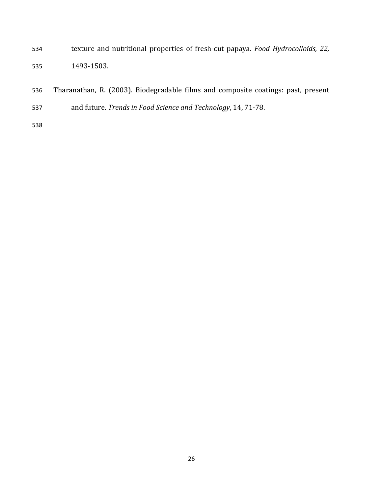- 534 texture and nutritional properties of fresh-cut papaya. *Food Hydrocolloids*, 22, 535 1493-1503.
- 536 Tharanathan, R. (2003). Biodegradable films and composite coatings: past, present
- 537 and future. *Trends in Food Science and Technology*, 14, 71-78.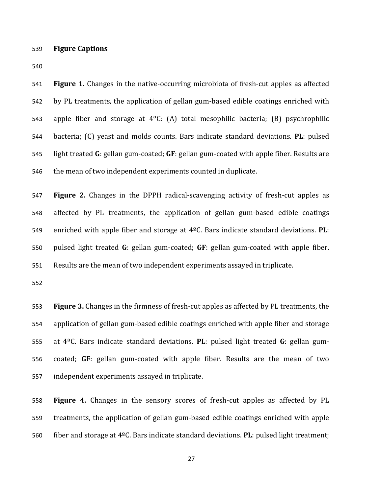539 **Figure Captions**

540

541 **Figure 1.** Changes in the native-occurring microbiota of fresh-cut apples as affected 542 by PL treatments, the application of gellan gum-based edible coatings enriched with 543 apple fiber and storage at  $4^{\circ}C$ : (A) total mesophilic bacteria; (B) psychrophilic 544 bacteria; (C) yeast and molds counts. Bars indicate standard deviations. PL: pulsed 545 light treated G: gellan gum-coated; GF: gellan gum-coated with apple fiber. Results are 546 the mean of two independent experiments counted in duplicate.

547 **Figure 2.** Changes in the DPPH radical-scavenging activity of fresh-cut apples as 548 affected by PL treatments, the application of gellan gum-based edible coatings 549 enriched with apple fiber and storage at 4<sup>o</sup>C. Bars indicate standard deviations. **PL**: 550 pulsed light treated **G**: gellan gum-coated; **GF**: gellan gum-coated with apple fiber. 551 Results are the mean of two independent experiments assayed in triplicate.

552

553 **Figure 3.** Changes in the firmness of fresh-cut apples as affected by PL treatments, the 554 application of gellan gum-based edible coatings enriched with apple fiber and storage 555 at 4<sup>o</sup>C. Bars indicate standard deviations. PL: pulsed light treated G: gellan gum-556 coated; GF: gellan gum-coated with apple fiber. Results are the mean of two 557 independent experiments assayed in triplicate.

558 **Figure 4.** Changes in the sensory scores of fresh-cut apples as affected by PL 559 treatments, the application of gellan gum-based edible coatings enriched with apple 560 fiber and storage at 4<sup>o</sup>C. Bars indicate standard deviations. **PL**: pulsed light treatment;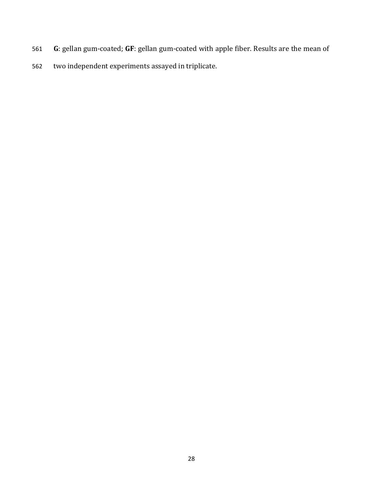- 561 G: gellan gum-coated; GF: gellan gum-coated with apple fiber. Results are the mean of
- 562 two independent experiments assayed in triplicate.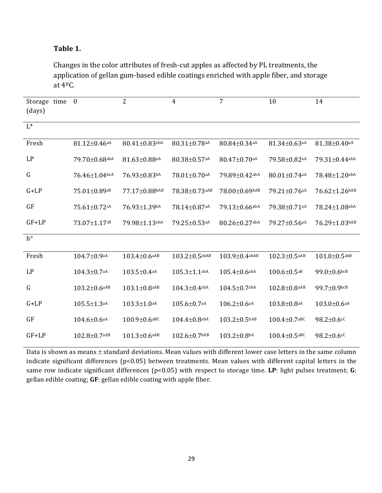# Table 1.

Changes in the color attributes of fresh-cut apples as affected by PL treatments, the application of gellan gum-based edible coatings enriched with apple fiber, and storage at  $4^{\circ}$ C.

| time<br>Storage<br>(days) | $\mathbf{0}$                    | $\overline{2}$       | $\overline{4}$           | 7                              | 10                             | 14                            |
|---------------------------|---------------------------------|----------------------|--------------------------|--------------------------------|--------------------------------|-------------------------------|
| $L^*$                     |                                 |                      |                          |                                |                                |                               |
| Fresh                     | $81.12 \pm 0.46$ aA             | 80.41±0.83abA        | $80.31 \pm 0.78$ aA      | $80.84 \pm 0.34$ <sub>aA</sub> | $81.34 \pm 0.63$ aA            | $81.38 \pm 0.40$ aA           |
| LP                        | 79.70±0.68abA                   | 81.63±0.88aA         | 80.38±0.57 <sup>aA</sup> | 80.47±0.70aA                   | 79.58±0.82aA                   | 79.31±0.44abA                 |
| ${\bf G}$                 | $76.46 \pm 1.04$ <sub>bcA</sub> | 76.93±0.83bA         | $78.01 \pm 0.70$ aA      | 79.89±0.42abA                  | $80.01 \pm 0.74$ <sup>aA</sup> | 78.48±1.20abA                 |
| $G+LP$                    | $75.01\pm0.89$ cB               | $77.17 \pm 0.88$ bAB | $78.38 \pm 0.73$ aAB     | $78.00 \pm 0.69$ bAB           | $79.21 \pm 0.76$ aA            | 76.62±1.26bAB                 |
| GF                        | $75.61 \pm 0.72$ cA             | 76.93±1.39bA         | 78.14±0.87aA             | 79.13±0.66abA                  | 79.38±0.71 <sup>aA</sup>       | $78.24 \pm 1.08$ abA          |
| $GF+LP$                   | 73.07±1.17cB                    | 79.98±1.13abA        | 79.25±0.53 <sup>aA</sup> | 80.26±0.27abA                  | 79.27±0.56 <sup>aA</sup>       | 76.29±1.03bAB                 |
| $h^{\circ}$               |                                 |                      |                          |                                |                                |                               |
| Fresh                     | $104.7 \pm 0.9$ aA              | $103.4 \pm 0.6$ aAB  | $103.2 \pm 0.5$ abAB     | $103.9 \pm 0.4$ abAB           | $102.3 \pm 0.5$ aAB            | $101.0 \pm 0.5$ abB           |
| LP                        | $104.3 \pm 0.7$ aA              | $103.5 \pm 0.4$ aA   | $105.3 \pm 1.1$ abA      | $105.4 \pm 0.6$ abA            | $100.6 \pm 0.5$ <sup>aB</sup>  | 99.0±0.6bcB                   |
| $\mathsf G$               | $103.2 \pm 0.6$ aAB             | $103.1 \pm 0.8$ aAB  | $104.3 \pm 0.4$ abA      | $104.5 \pm 0.7$ abA            | $102.8 \pm 0.8$ aAB            | $99.7 \pm 0.9$ <sub>bcB</sub> |
| $G+LP$                    | $105.5 \pm 1.3$ aA              | $103.3 \pm 1.0$ aA   | $105.6 \pm 0.7$ aA       | $106.2 \pm 0.6$ aA             | $103.8 + 0.8$ aA               | $103.0 \pm 0.6$ aA            |
| GF                        | $104.6 \pm 0.6$ aA              | $100.9 \pm 0.6$ aBC  | $104.4 \pm 0.8$ abA      | $103.2 \pm 0.5^{bAB}$          | $100.4 \pm 0.7$ aBC            | $98.2 \pm 0.6$ cC             |
| $GF+LP$                   | $102.8 \pm 0.7$ aAB             | $101.3 \pm 0.6$ aAB  | $102.6 \pm 0.7$ bAB      | $103.2 \pm 0.8$ bA             | $100.4 \pm 0.5$ <sub>aBC</sub> | $98.2 \pm 0.6$ cC             |

Data is shown as means  $\pm$  standard deviations. Mean values with different lower case letters in the same column indicate significant differences  $(p<0.05)$  between treatments. Mean values with different capital letters in the same row indicate significant differences (p<0.05) with respect to storage time. LP: light pulses treatment; G: gellan edible coating; GF: gellan edible coating with apple fiber.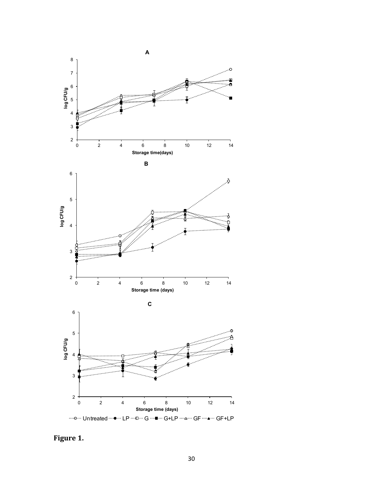

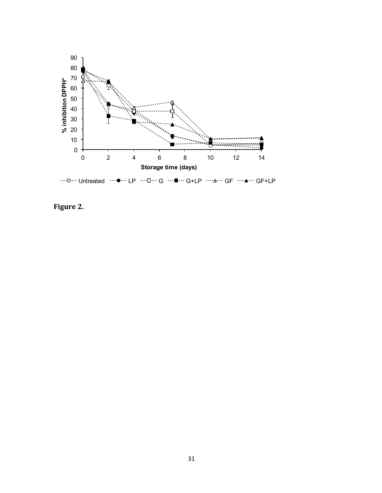

Figure 2.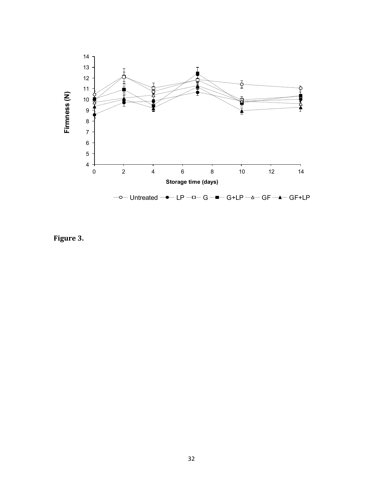

Figure 3.